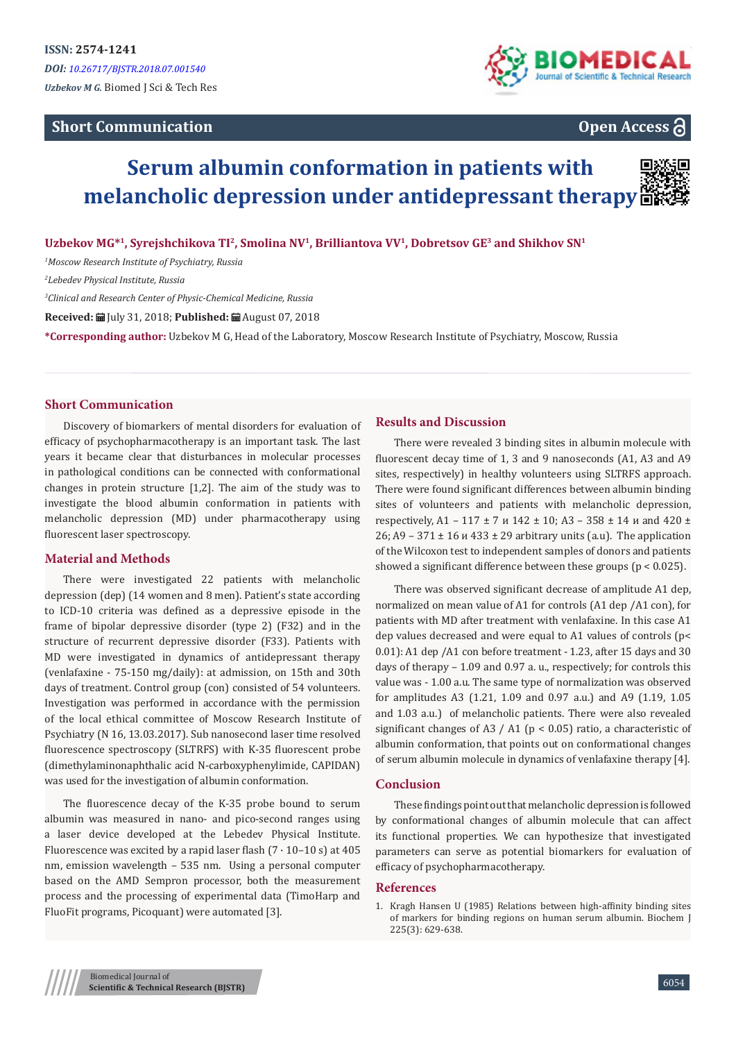# **Short Communication**



# **Open Access**

# **Serum albumin conformation in patients with melancholic depression under antidepressant therapy**



**Uzbekov MG\*<sup>1</sup>, Syrejshchikova TI<sup>2</sup>, Smolina NV<sup>1</sup>, Brilliantova VV<sup>1</sup>, Dobretsov GE<sup>3</sup> and Shikhov SN<sup>1</sup>**

*1 Moscow Research Institute of Psychiatry, Russia*

*2 Lebedev Physical Institute, Russia*

*3 Clinical and Research Center of Physic-Chemical Medicine, Russia* 

**Received:** July 31, 2018; **Published:** August 07, 2018

**\*Corresponding author:** Uzbekov M G, Head of the Laboratory, Moscow Research Institute of Psychiatry, Moscow, Russia

### **Short Communication**

Discovery of biomarkers of mental disorders for evaluation of efficacy of psychopharmacotherapy is an important task. The last years it became clear that disturbances in molecular processes in pathological conditions can be connected with conformational changes in protein structure [1,2]. The aim of the study was to investigate the blood albumin conformation in patients with melancholic depression (MD) under pharmacotherapy using fluorescent laser spectroscopy.

## **Material and Methods**

There were investigated 22 patients with melancholic depression (dep) (14 women and 8 men). Patient's state according to ICD-10 criteria was defined as a depressive episode in the frame of bipolar depressive disorder (type 2) (F32) and in the structure of recurrent depressive disorder (F33). Patients with MD were investigated in dynamics of antidepressant therapy (venlafaxine - 75-150 mg/daily): at admission, on 15th and 30th days of treatment. Control group (con) consisted of 54 volunteers. Investigation was performed in accordance with the permission of the local ethical committee of Moscow Research Institute of Psychiatry (N 16, 13.03.2017). Sub nanosecond laser time resolved fluorescence spectroscopy (SLTRFS) with K-35 fluorescent probe (dimethylaminonaphthalic acid N-carboxyphenylimide, CAPIDAN) was used for the investigation of albumin conformation.

The fluorescence decay of the K-35 probe bound to serum albumin was measured in nano- and pico-second ranges using a laser device developed at the Lebedev Physical Institute. Fluorescence was excited by a rapid laser flash  $(7 \cdot 10 - 10 \text{ s})$  at 405 nm, emission wavelength – 535 nm. Using a personal computer based on the AMD Sempron processor, both the measurement process and the processing of experimental data (TimoHarp and FluoFit programs, Picoquant) were automated [3].

#### **Results and Discussion**

There were revealed 3 binding sites in albumin molecule with fluorescent decay time of 1, 3 and 9 nanoseconds (A1, A3 and A9 sites, respectively) in healthy volunteers using SLTRFS approach. There were found significant differences between albumin binding sites of volunteers and patients with melancholic depression, respectively, A1 – 117  $\pm$  7  $\mu$  142  $\pm$  10; A3 – 358  $\pm$  14  $\mu$  and 420  $\pm$ 26; A9 – 371  $\pm$  16  $\mu$  433  $\pm$  29 arbitrary units (a.u). The application of the Wilcoxon test to independent samples of donors and patients showed a significant difference between these groups (p < 0.025).

There was observed significant decrease of amplitude A1 dep, normalized on mean value of A1 for controls (A1 dep /A1 con), for patients with MD after treatment with venlafaxine. In this case A1 dep values decreased and were equal to A1 values of controls (p< 0.01): A1 dep /A1 con before treatment - 1.23, after 15 days and 30 days of therapy – 1.09 and 0.97 a. u., respectively; for controls this value was - 1.00 a.u. The same type of normalization was observed for amplitudes A3 (1.21, 1.09 and 0.97 a.u.) and A9 (1.19, 1.05 and 1.03 a.u.) of melancholic patients. There were also revealed significant changes of A3 / A1 ( $p < 0.05$ ) ratio, a characteristic of albumin conformation, that points out on conformational changes of serum albumin molecule in dynamics of venlafaxine therapy [4].

#### **Conclusion**

These findings point out that melancholic depression is followed by conformational changes of albumin molecule that can affect its functional properties. We can hypothesize that investigated parameters can serve as potential biomarkers for evaluation of efficacy of psychopharmacotherapy.

#### **References**

1. [Kragh Hansen U \(1985\) Relations between high-affinity binding sites](https://www.ncbi.nlm.nih.gov/pubmed/3977850) [of markers for binding regions on human serum albumin. Biochem J](https://www.ncbi.nlm.nih.gov/pubmed/3977850) [225\(3\): 629-638.](https://www.ncbi.nlm.nih.gov/pubmed/3977850)